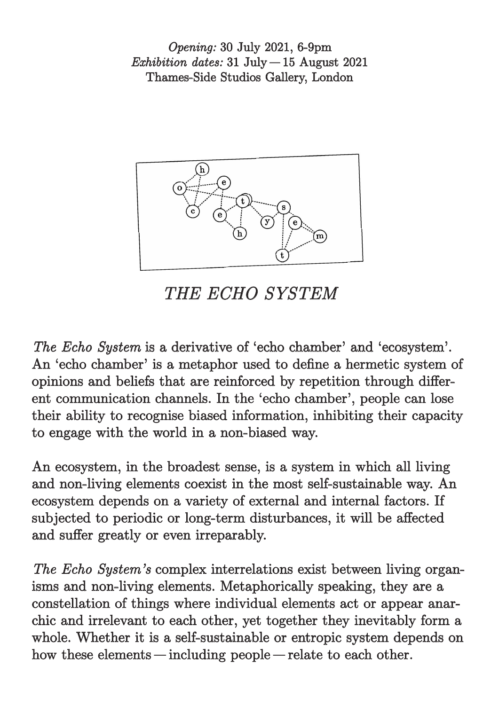*Opening:* 30 July 2021, 6-9pm *Exhibition dates:* 31 July – 15 August 2021 Thames-Side Studios Gallery, London



*THE ECHO SYSTEM*

*The Echo System* is a derivative of 'echo chamber' and 'ecosystem'. An 'echo chamber' is a metaphor used to define a hermetic system of opinions and beliefs that are reinforced by repetition through different communication channels. In the 'echo chamber', people can lose their ability to recognise biased information, inhibiting their capacity to engage with the world in a non-biased way.

An ecosystem, in the broadest sense, is a system in which all living and non-living elements coexist in the most self-sustainable way. An ecosystem depends on a variety of external and internal factors. If subjected to periodic or long-term disturbances, it will be affected and suffer greatly or even irreparably.

*The Echo System's* complex interrelations exist between living organisms and non-living elements. Metaphorically speaking, they are a constellation of things where individual elements act or appear anarchic and irrelevant to each other, yet together they inevitably form a whole. Whether it is a self-sustainable or entropic system depends on how these elements—including people—relate to each other.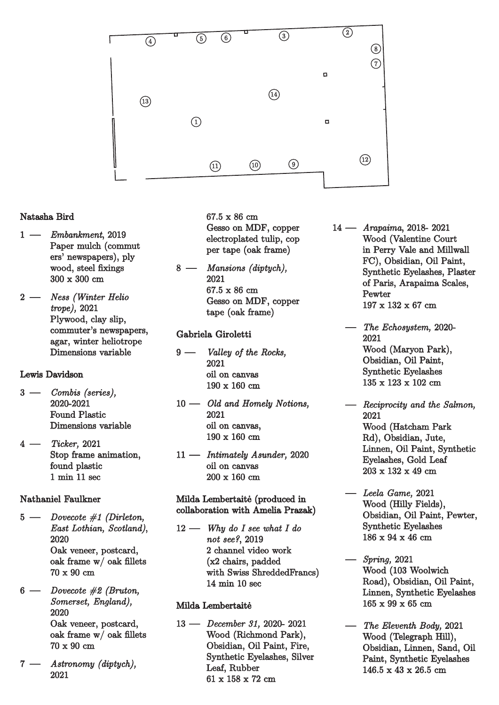

## Natasha Bird

- 1 –  *Embankment*, 2019 Paper mulch (commut ers' newspapers), ply wood, steel fixings 300 x 300 cm
- 2 –  *Ness (Winter Helio trope),* 2021 Plywood, clay slip, commuter's newspapers, agar, winter heliotrope Dimensions variable

Lewis Davidson

- 3 –  *Combis (series),* 2020-2021 Found Plastic Dimensions variable
- 4 –  *Ticker,* <sup>2021</sup> Stop frame animation, found plastic 1 min 11 sec

## Nathaniel Faulkner

- <sup>5</sup> –  *Dovecote #1 (Dirleton, East Lothian, Scotland)*, 2020 Oak veneer, postcard, oak frame w/ oak fillets 70 x 90 cm
- 6 –  *Dovecote #2 (Bruton, Somerset, England),* 2020 Oak veneer, postcard, oak frame w/ oak fillets 70 x 90 cm
- 7 –  *Astronomy (diptych),* 2021

67.5 x 86 cm Gesso on MDF, copper electroplated tulip, cop per tape (oak frame)

8 –  *Mansions (diptych),* 2021 67.5 x 86 cm Gesso on MDF, copper tape (oak frame)

## Gabriela Giroletti

- 9 –  *Valley of the Rocks,* 2021 oil on canvas 190 x 160 cm
- 10 –  *Old and Homely Notions,* 2021 oil on canvas, 190 x 160 cm
- 11 –  *Intimately Asunder,* <sup>2020</sup> oil on canvas 200 x 160 cm

Milda Lembertaitė (produced in collaboration with Amelia Prazak)

12 –  *Why do I see what I do not see?*, 2019 2 channel video work (x2 chairs, padded with Swiss ShreddedFrancs) 14 min 10 sec

## Milda Lembertaitė

13 –  *December 31,* 2020- 2021 Wood (Richmond Park), Obsidian, Oil Paint, Fire, Synthetic Eyelashes, Silver Leaf, Rubber 61 x 158 x 72 cm

- 14 –  *Arapaima*, 2018- 2021 Wood (Valentine Court in Perry Vale and Millwall FC), Obsidian, Oil Paint, Synthetic Eyelashes, Plaster of Paris, Arapaima Scales, **Pewter** 197 x 132 x 67 cm
	- –  *The Echosystem,* 2020- 2021 Wood (Maryon Park), Obsidian, Oil Paint, Synthetic Eyelashes 135 x 123 x 102 cm
	- –  *Reciprocity and the Salmon,* 2021 Wood (Hatcham Park Rd), Obsidian, Jute, Linnen, Oil Paint, Synthetic Eyelashes, Gold Leaf 203 x 132 x 49 cm
	- –  *Leela Game,* <sup>2021</sup> Wood (Hilly Fields), Obsidian, Oil Paint, Pewter, Synthetic Eyelashes  $186 \times 94 \times 46$  cm
	- –  *Spring,* <sup>2021</sup> Wood (103 Woolwich Road), Obsidian, Oil Paint, Linnen, Synthetic Eyelashes 165 x 99 x 65 cm
	- –  *The Eleventh Body,*<sup>2021</sup> Wood (Telegraph Hill), Obsidian, Linnen, Sand, Oil Paint, Synthetic Eyelashes 146.5 x 43 x 26.5 cm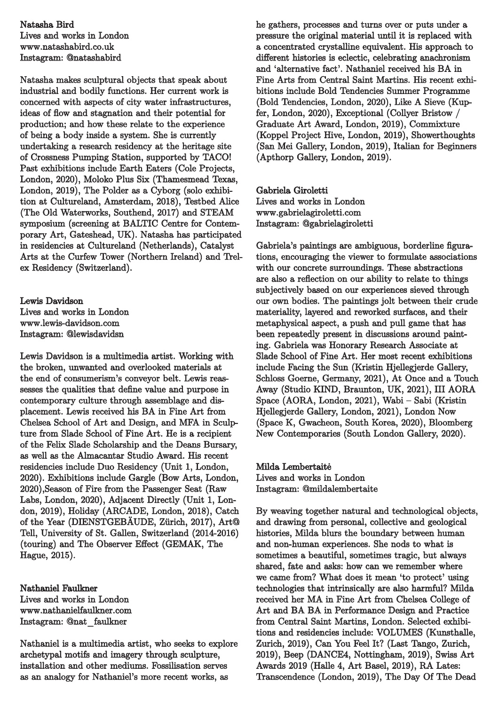Natasha Bird Lives and works in London www.natashabird.co.uk Instagram: @natashabird

Natasha makes sculptural objects that speak about industrial and bodily functions. Her current work is concerned with aspects of city water infrastructures, ideas of flow and stagnation and their potential for production; and how these relate to the experience of being a body inside a system. She is currently undertaking a research residency at the heritage site of Crossness Pumping Station, supported by TACO! Past exhibitions include Earth Eaters (Cole Projects, London, 2020), Moloko Plus Six (Thamesmead Texas, London, 2019), The Polder as a Cyborg (solo exhibition at Cultureland, Amsterdam, 2018), Testbed Alice (The Old Waterworks, Southend, 2017) and STEAM symposium (screening at BALTIC Centre for Contemporary Art, Gateshead, UK). Natasha has participated in residencies at Cultureland (Netherlands), Catalyst Arts at the Curfew Tower (Northern Ireland) and Trelex Residency (Switzerland).

Lewis Davidson Lives and works in London www.lewis-davidson.com Instagram: @lewisdavidsn

Lewis Davidson is a multimedia artist. Working with the broken, unwanted and overlooked materials at the end of consumerism's conveyor belt. Lewis reassesses the qualities that define value and purpose in contemporary culture through assemblage and displacement. Lewis received his BA in Fine Art from Chelsea School of Art and Design, and MFA in Sculpture from Slade School of Fine Art. He is a recipient of the Felix Slade Scholarship and the Deans Bursary, as well as the Almacantar Studio Award. His recent residencies include Duo Residency (Unit 1, London, 2020). Exhibitions include Gargle (Bow Arts, London, 2020),Season of Fire from the Passenger Seat (Raw Labs, London, 2020), Adjacent Directly (Unit 1, London, 2019), Holiday (ARCADE, London, 2018), Catch of the Year (DIENSTGEBÄUDE, Zürich, 2017), Art@ Tell, University of St. Gallen, Switzerland (2014-2016) (touring) and The Observer Effect (GEMAK, The Hague, 2015).

Nathaniel Faulkner Lives and works in London www.nathanielfaulkner.com Instagram: @nat\_faulkner

Nathaniel is a multimedia artist, who seeks to explore archetypal motifs and imagery through sculpture, installation and other mediums. Fossilisation serves as an analogy for Nathaniel's more recent works, as

he gathers, processes and turns over or puts under a pressure the original material until it is replaced with a concentrated crystalline equivalent. His approach to different histories is eclectic, celebrating anachronism and 'alternative fact'. Nathaniel received his BA in Fine Arts from Central Saint Martins. His recent exhibitions include Bold Tendencies Summer Programme (Bold Tendencies, London, 2020), Like A Sieve (Kupfer, London, 2020), Exceptional (Collyer Bristow / Graduate Art Award, London, 2019), Commixture (Koppel Project Hive, London, 2019), Showerthoughts (San Mei Gallery, London, 2019), Italian for Beginners (Apthorp Gallery, London, 2019).

Gabriela Giroletti Lives and works in London www.gabrielagiroletti.com Instagram: @gabrielagiroletti

Gabriela's paintings are ambiguous, borderline figurations, encouraging the viewer to formulate associations with our concrete surroundings. These abstractions are also a reflection on our ability to relate to things subjectively based on our experiences sieved through our own bodies. The paintings jolt between their crude materiality, layered and reworked surfaces, and their metaphysical aspect, a push and pull game that has been repeatedly present in discussions around painting. Gabriela was Honorary Research Associate at Slade School of Fine Art. Her most recent exhibitions include Facing the Sun (Kristin Hjellegjerde Gallery, Schloss Goerne, Germany, 2021), At Once and a Touch Away (Studio KIND, Braunton, UK, 2021), III AORA Space (AORA, London, 2021), Wabi – Sabi (Kristin Hjellegjerde Gallery, London, 2021), London Now (Space K, Gwacheon, South Korea, 2020), Bloomberg New Contemporaries (South London Gallery, 2020).

Milda Lembertaitė Lives and works in London Instagram: @mildalembertaite

By weaving together natural and technological objects, and drawing from personal, collective and geological histories, Milda blurs the boundary between human and non-human experiences. She nods to what is sometimes a beautiful, sometimes tragic, but always shared, fate and asks: how can we remember where we came from? What does it mean 'to protect' using technologies that intrinsically are also harmful? Milda received her MA in Fine Art from Chelsea College of Art and BA BA in Performance Design and Practice from Central Saint Martins, London. Selected exhibitions and residencies include: VOLUMES (Kunsthalle, Zurich, 2019), Can You Feel It? (Last Tango, Zurich, 2019), Beep (DANCE4, Nottingham, 2019), Swiss Art Awards 2019 (Halle 4, Art Basel, 2019), RA Lates: Transcendence (London, 2019), The Day Of The Dead